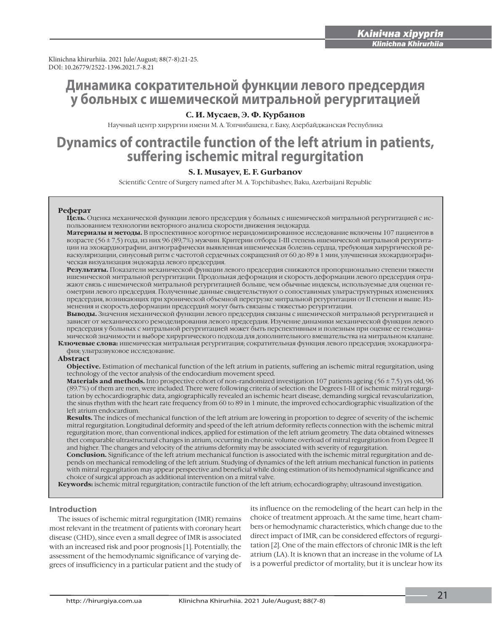Klinichna khirurhiia. 2021 Jule/August; 88(7-8):21-25.<br>DOI: 10.26779/2522-1396.2021.7-8.21 DOI: 10.26779/2522-1396.2021.7-8.21

## **Динамика сократительной функции левого предсердия у больных с ишемической митральной регургитацией**

### **С. И. Мусаев, Э. Ф. Курбанов**

Научный центр хирургии имени М. А. Топчибашева, г. Баку, Азербайджанская Республика

# **Dynamics of contractile function of the left atrium in patients,<br>suffering ischemic mitral regurgitation**

#### **S. I. Мusayev, E. F. Gurbanov**

Scientific Centre of Surgery named after М. А. Тоpchibashev, Baku, Azerbaijani Republic

#### **Реферат**

**Цель.** Оценка механической функции левого предсердия у больных с ишемической митральной регургитацией с использованием технологии векторного анализа скорости движения эндокарда.

**Материалы и методы.** В проспективное когортное нерандомизированное исследование включены 107 пациентов в возрасте (56 ± 7,5) года, из них 96 (89,7%) мужчин. Критерии отбора: I-III степень ишемической митральной регургитации на эхокардиографии, ангиографически выявленная ишемическая болезнь сердца, требующая хирургической реваскуляризации, синусовый ритм с частотой сердечных сокращений от 60 до 89 в 1 мин, улучшенная эхокардиографическая визуализация эндокарда левого предсердия.

**Результаты.** Показатели механической функции левого предсердия снижаются пропорционально степени тяжести ишемической митральной регургитации. Продольная деформация и скорость деформации левого предсердия отражают связь с ишемической митральной регургитацией больше, чем обычные индексы, используемые для оценки геометрии левого предсердия. Полученные данные свидетельствуют о сопоставимых ультраструктурных изменениях предсердия, возникающих при хронической объемной перегрузке митральной регургитации от II степени и выше. Изменения и скорость деформации предсердий могут быть связаны с тяжестью регургитации.

**Выводы.** Значения механической функции левого предсердия связаны с ишемической митральной регургитацией и зависят от механического ремоделирования левого предсердия. Изучение динамики механической функции левого предсердия у больных с митральной регургитацией может быть перспективным и полезным при оценке ее гемодинамической значимости и выборе хирургического подхода для дополнительного вмешательства на митральном клапане.

**Ключевые слова:** ишемическая митральная регургитация; сократительная функция левого предсердия; эхокардиография; ультразвуковое исследование.

#### **Abstract**

**Objective.** Estimation of mechanical function of the left atrium in patients, suffering an ischemic mitral regurgitation, using technology of the vector analysis of the endocardium movement speed.

**Materials and methods.** Into prospective cohort of non-randomized investigation 107 patients ageing (56 ± 7.5) yrs old, 96 (89.7%) of them are men, were included. There were following criteria of selection: the Degrees I-III of ischemic mitral regurgitation by echocardiographic data, аngiographically revealed an ischemic heart disease, demanding surgical revascularization, the sinus rhythm with the heart rate frequency from 60 tо 89 in 1 minute, the improved echocardiographic visualization of the left atrium endocardium.

**Results.** The indices of mechanical function of the left atrium are lowering in proportion to degree of severity of the ischemic mitral regurgitation. Longitudinal deformity and speed of the left atrium deformity reflects connection with the ischemic mitral regurgitation more, than conventional indices, applied for estimation of the left atrium geometry. The data obtained witnesses thet comparable ultrastructural changes in atrium, occurring in chronic volume overload of mitral regurgitation from Degree II and higher. The changes and velocity of the atriums deformity may be associated with severity of regurgitation.

**Conclusion.** Significance of the left atrium mechanical function is associated with the ischemic mitral regurgitation and depends on mechanical remodeling of the left atrium. Studying of dynamics of the left atrium mechanical function in patients with mitral regurgitation may appear perspective and beneficial while doing estimation of its hemodynamical significance and choice of surgical approach as additional intervention on a mitral valve.

**Кeywords:** ischemic mitral regurgitation; соntractile function of the left atrium; echocardiography; ultrasound investigation.

#### **Introduction**

The issues of ischemic mitral regurgitation (IMR) remains most relevant in the treatment of patients with coronary heart disease (CHD), since even a small degree of IMR is associated with an increased risk and poor prognosis [1]. Potentially, the assessment of the hemodynamic significance of varying degrees of insufficiency in a particular patient and the study of

its influence on the remodeling of the heart can help in the choice of treatment approach. At the same time, heart chambers or hemodynamic characteristics, which change due to the direct impact of IMR, can be considered effectors of regurgitation [2]. One of the main effectors of chronic IMR is the left atrium (LA). It is known that an increase in the volume of LA is a powerful predictor of mortality, but it is unclear how its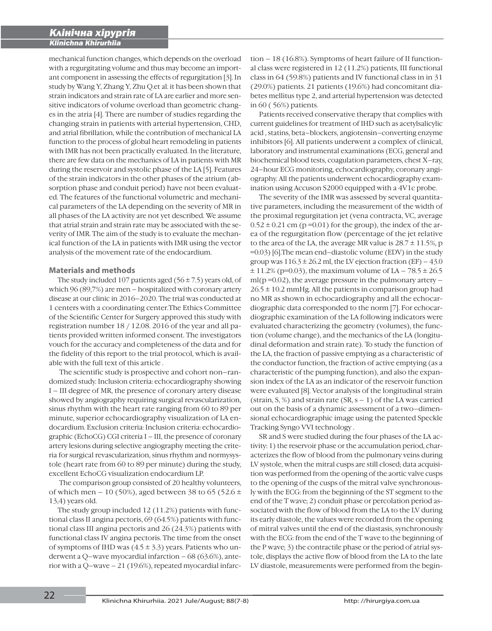mechanical function changes, which depends on the overload with a regurgitating volume and thus may become an important component in assessing the effects of regurgitation [3]. In study by Wang Y, Zhang Y, Zhu Q.et al. it has been shown that strain indicators and strain rate of LA are earlier and more sensitive indicators of volume overload than geometric changes in the atria [4]. There are number of studies regarding the changing strain in patients with arterial hypertension, CHD, and atrial fibrillation, while the contribution of mechanical LA function to the process of global heart remodeling in patients with IMR has not been practically evaluated. In the literature, there are few data on the mechanics of LA in patients with MR during the reservoir and systolic phase of the LA [5]. Features of the strain indicators in the other phases of the atrium (absorption phase and conduit period) have not been evaluated. The features of the functional volumetric and mechanical parameters of the LA depending on the severity of MR in all phases of the LA activity are not yet described. We assume that atrial strain and strain rate may be associated with the severity of IMR. The aim of the study is to evaluate the mechanical function of the LA in patients with IMR using the vector analysis of the movement rate of the endocardium.

#### **Materials and methods**

The study included 107 patients aged  $(56 \pm 7.5)$  years old, of which 96 (89,7%) are men – hospitalized with coronary artery disease at our clinic in 2016–2020. The trial was conducted at 1 centers with a coordinating center.The Ethics Committee of the Scientific Center for Surgery approved this study with registration number 18 / 12.08. 2016 of the year and all patients provided written informed consent. The investigators vouch for the accuracy and completeness of the data and for the fidelity of this report to the trial protocol, which is available with the full text of this article .

 The scientific study is prospective and cohort non–randomized study. Inclusion criteria: echocardiography showing I – III degree of MR, the presence of coronary artery disease showed by angiography requiring surgical revascularization, sinus rhythm with the heart rate ranging from 60 to 89 per minute, superior echocardiography visualization of LA endocardium. Exclusion criteria: Inclusion criteria: echocardiographic (EchoCG) CGI criteria I – III, the presence of coronary artery lesions during selective angiography meeting the criteria for surgical revascularization, sinus rhythm and normysystole (heart rate from 60 to 89 per minute) during the study, excellent EchoCG visualization endocardium LP.

 The comparison group consisted of 20 healthy volunteers, of which men – 10 (50%), aged between 38 to 65 (52.6  $\pm$ 13,4) years old.

The study group included 12 (11.2%) patients with functional class II angina pectoris, 69 (64.5%) patients with functional class III angina pectoris and 26 (24.3%) patients with functional class IV angina pectoris. The time from the onset of symptoms of IHD was  $(4.5 \pm 3.3)$  years. Patients who underwent a Q–wave myocardial infarction  $-68$  (63.6%), anterior with a  $Q$ –wave – 21 (19.6%), repeated myocardial infarc-

tion – 18 (16.8%). Symptoms of heart failure of II functional class were registered in 12 (11.2%) patients, III functional class in 64 (59.8%) patients and IV functional class in in 31 (29.0%) patients. 21 patients (19.6%) had concomitant diabetes mellitus type 2, and arterial hypertension was detected in 60 ( 56%) patients.

Patients received conservative therapy that complies with current guidelines for treatment of IHD such as acetylsalicylic acid , statins, beta–blockers, angiotensin–converting enzyme inhibitors [6]. All patients underwent a complex of clinical, laboratory and instrumental examinations (ECG, general and biochemical blood tests, coagulation parameters, chest X–ray, 24–hour ECG monitoring, echocardiography, coronary angiography. All the patients underwent echocardiography examination using Accuson S2000 equipped with a 4V1c probe.

The severity of the IMR was assessed by several quantitative parameters, including the measurement of the width of the proximal regurgitation jet (vena contracta, VC, average  $0.52 \pm 0.21$  cm (p=0.01) for the group), the index of the area of the regurgitation flow (percentage of the jet relative to the area of the LA, the average MR value is  $28.7 \pm 11.5$ %, p =0.03) [6].The mean end–diastolic volume (EDV) in the study group was  $116.3 \pm 26.2$  ml, the LV ejection fraction (EF) – 43.0  $\pm$  11.2% (p=0.03), the maximum volume of LA – 78.5  $\pm$  26.5  $ml(p=0.02)$ , the average pressure in the pulmonary artery –  $26.5 \pm 10.2$  mmHg. All the patients in comparison group had no MR as shown in echocardiography and all the echocardiographic data corresponded to the norm [7]. For echocardiographic examination of the LA following indicators were evaluated characterizing the geometry (volumes), the function (volume change), and the mechanics of the LA (longitudinal deformation and strain rate). To study the function of the LA, the fraction of passive emptying as a characteristic of the conductor function, the fraction of active emptying (as a characteristic of the pumping function), and also the expansion index of the LA as an indicator of the reservoir function were evaluated [8]. Vector analysis of the longitudinal strain (strain, S, %) and strain rate  $(SR, s - 1)$  of the LA was carried out on the basis of a dynamic assessment of a two–dimensional echocardiographic image using the patented Speckle Tracking Syngo VVI technology .

SR and S were studied during the four phases of the LA activity: 1) the reservoir phase or the accumulation period, characterizes the flow of blood from the pulmonary veins during LV systole, when the mitral cusps are still closed; data acquisition was performed from the opening of the aortic valve cusps to the opening of the cusps of the mitral valve synchronously with the ECG: from the beginning of the ST segment to the end of the T wave; 2) conduit phase or percolation period associated with the flow of blood from the LA to the LV during its early diastole, the values were recorded from the opening of mitral valves until the end of the diastasis, synchronously with the ECG: from the end of the T wave to the beginning of the P wave; 3) the contractile phase or the period of atrial systole, displays the active flow of blood from the LA to the late LV diastole, measurements were performed from the begin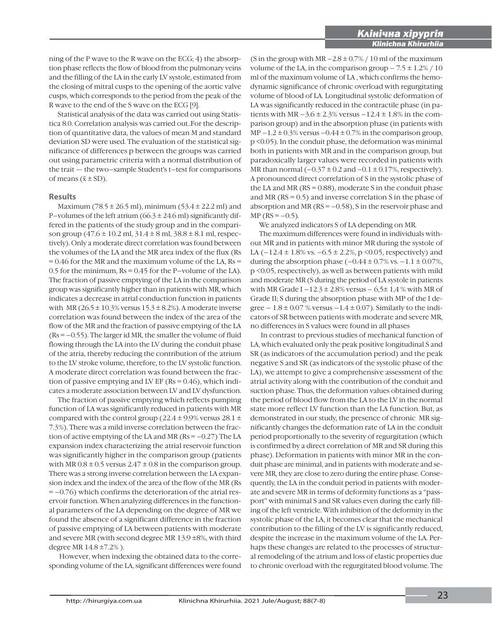ning of the P wave to the R wave on the ECG; 4) the absorption phase reflects the flow of blood from the pulmonary veins and the filling of the LA in the early LV systole, estimated from the closing of mitral cusps to the opening of the aortic valve cusps, which corresponds to the period from the peak of the R wave to the end of the S wave on the ECG [9].

Statistical analysis of the data was carried out using Statistica 8.0. Сorrelation analysis was carried out..For the description of quantitative data, the values of mean M and standard deviation SD were used. The evaluation of the statistical significance of differences p between the groups was carried out using parametric criteria with a normal distribution of the trait — the two–sample Student's t–test for comparisons of means  $(\bar{x} \pm SD)$ .

#### **Results**

Maximum (78.5 ± 26.5 ml), minimum (53.4 ± 22.2 ml) and P–volumes of the left atrium  $(66.3 \pm 24.6 \text{ ml})$  significantly differed in the patients of the study group and in the comparison group (47.6 ± 10.2 ml, 31.4 ± 8 ml, 38.8 ± 8.1 ml, respectively). Only a moderate direct correlation was found between the volumes of the LA and the MR area index of the flux (Rs  $= 0.46$  for the MR and the maximum volume of the LA, Rs  $=$ 0.5 for the minimum, Rs = 0.45 for the P–volume of the LA). The fraction of passive emptying of the LA in the comparison group was significantly higher than in patients with MR, which indicates a decrease in atrial conduction function in patients with MR ( $26.5 \pm 10.3\%$  versus  $15.3 \pm 8.2\%$ ). A moderate inverse correlation was found between the index of the area of the flow of the MR and the fraction of passive emptying of the LA  $(Rs = -0.55)$ . The larger id MR, the smaller the volume of fluid flowing through the LA into the LV during the conduit phase of the atria, thereby reducing the contribution of the atrium to the LV stroke volume, therefore, to the LV systolic function. A moderate direct correlation was found between the fraction of passive emptying and LV EF ( $Rs = 0.46$ ), which indicates a moderate association between LV and LV dysfunction.

The fraction of passive emptying which reflects pumping function of LA was significantly reduced in patients with MR compared with the control group (22.4  $\pm$  9.9% versus 28.1  $\pm$ 7.3%). There was a mild inverse correlation between the fraction of active emptying of the LA and MR  $(Rs = -0.27)$  The LA expansion index characterizing the atrial reservoir function was significantly higher in the comparison group (patients with MR  $0.8 \pm 0.5$  versus  $2.47 \pm 0.8$  in the comparison group. There was a strong inverse correlation between the LA expansion index and the index of the area of the flow of the MR (Rs  $= -0.76$ ) which confirms the deterioration of the atrial reservoir function. When analyzing differences in the functional parameters of the LA depending on the degree of MR we found the absence of a significant difference in the fraction of passive emptying of LA between patients with moderate and severe MR (with second degree MR 13.9 ±8%, with third degree MR  $14.8 \pm 7.2\%$ ).

 However, when indexing the obtained data to the corresponding volume of the LA, significant differences were found (S in the group with  $MR - 2.8 \pm 0.7\%$  / 10 ml of the maximum volume of the LA, in the comparison group  $-7.5 \pm 1.2\% / 10$ ml of the maximum volume of LA , which confirms the hemodynamic significance of chronic overload with regurgitating volume of blood of LA. Longitudinal systolic deformation of LA was significantly reduced in the contractile phase (in patients with MR  $-3.6 \pm 2.3\%$  versus  $-12.4 \pm 1.8\%$  in the comparison group) and in the absorption phase (in patients with MP  $-1.2 \pm 0.3\%$  versus  $-0.44 \pm 0.7\%$  in the comparison group, p <0.05). In the conduit phase, the deformation was minimal both in patients with MR and in the comparison group, but paradoxically larger values were recorded in patients with MR than normal  $(-0.37 \pm 0.2 \text{ and } -0.1 \pm 0.17\%$ , respectively). A pronounced direct correlation of S in the systolic phase of the LA and MR ( $RS = 0.88$ ), moderate S in the conduit phase and MR ( $RS = 0.5$ ) and inverse correlation S in the phase of absorption and MR ( $RS = -0.58$ ), S in the reservoir phase and  $MP (RS = -0.5)$ .

We analyzed indicators S of LA depending on MR.

The maximum differences were found in individuals without MR and in patients with minor MR during the systole of LA  $(-12.4 \pm 1.8\% \text{ vs. } -6.5 \pm 2.2\%, \text{ p} < 0.05, \text{ respectively})$  and during the absorption phase  $(-0.44 \pm 0.7\% \text{ vs. } -1.1 \pm 0.07\%$ , p <0.05, respectively), as well as between patients with mild and moderate MR (S during the period of LA systole in patients with MR Grade I –  $12.3 \pm 2.8\%$  versus –  $6.5 \pm 1.4\%$  with MR of Grade II; S during the absorption phase with MP of the I degree  $-1.8 \pm 0.07$  % versus  $-1.4 \pm 0.07$ ). Similarly to the indicators of SR between patients with moderate and severe MR, no differences in S values were found in all phases

 In contrast to previous studies of mechanical function of LA, which evaluated only the peak positive longitudinal S and SR (as indicators of the accumulation period) and the peak negative S and SR (as indicators of the systolic phase of the LA), we attempt to give a comprehensive assessment of the atrial activity along with the contribution of the conduit and suction phase. Thus, the deformation values obtained during the period of blood flow from the LA to the LV in the normal state more reflect LV function than the LA function. But, as demonstrated in our study, the presence of chronic MR significantly changes the deformation rate of LA in the conduit period proportionally to the severity of regurgitation (which is confirmed by a direct correlation of MR and SR during this phase). Deformation in patients with minor MR in the conduit phase are minimal, and in patients with moderate and severe MR, they are close to zero during the entire phase. Consequently, the LA in the conduit period in patients with moderate and severe MR in terms of deformity functions as a "passport" with minimal S and SR values even during the early filling of the left ventricle. With inhibition of the deformity in the systolic phase of the LA, it becomes clear that the mechanical contribution to the filling of the LV is significantly reduced, despite the increase in the maximum volume of the LA. Perhaps these changes are related to the processes of structural remodeling of the atrium and loss of elastic properties due to chronic overload with the regurgitated blood volume. The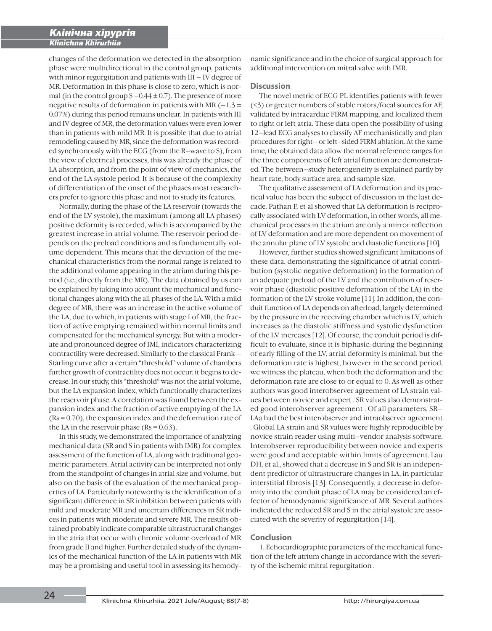changes of the deformation we detected in the absorption phase were multidirectional in the control group, patients with minor regurgitation and patients with III – IV degree of MR. Deformation in this phase is close to zero, which is normal (in the control group  $S - 0.44 \pm 0.7$ ). The presence of more negative results of deformation in patients with MR  $(-1.3 \pm 1)$ 0.07%) during this period remains unclear. In patients with III and IV degree of MR, the deformation values were even lower than in patients with mild MR. It is possible that due to atrial remodeling caused by MR, since the deformation was recorded synchronously with the ECG (from the R–wave to S), from the view of electrical processes, this was already the phase of LA absorption, and from the point of view of mechanics, the end of the LA systole period. It is because of the complexity of differentiation of the onset of the phases most researchers prefer to ignore this phase and not to study its features.

 Normally, during the phase of the LA reservoir (towards the end of the LV systole), the maximum (among all LA phases) positive deformity is recorded, which is accompanied by the greatest increase in atrial volume. The reservoir period depends on the preload conditions and is fundamentally volume dependent. This means that the deviation of the mechanical characteristics from the normal range is related to the additional volume appearing in the atrium during this period (i.e., directly from the MR). The data obtained by us can be explained by taking into account the mechanical and functional changes along with the all phases of the LA. With a mild degree of MR, there was an increase in the active volume of the LA, due to which, in patients with stage I of MR, the fraction of active emptying remained within normal limits and compensated for the mechanical synergy. But with a moderate and pronounced degree of IMI, indicators characterizing contractility were decreased. Similarly to the classical Frank – Starling curve after a certain "threshold" volume of chambers further growth of contractility does not occur: it begins to decrease. In our study, this "threshold" was not the atrial volume, but the LA expansion index, which functionally characterizes the reservoir phase. A correlation was found between the expansion index and the fraction of active emptying of the LA (Rs = 0.70), the expansion index and the deformation rate of the LA in the reservoir phase ( $Rs = 0.63$ ).

 In this study, we demonstrated the importance of analyzing mechanical data (SR and S in patients with IMR) for complex assessment of the function of LA, along with traditional geometric parameters. Atrial activity can be interpreted not only from the standpoint of changes in atrial size and volume, but also on the basis of the evaluation of the mechanical properties of LA. Particularly noteworthy is the identification of a significant difference in SR inhibition between patients with mild and moderate MR and uncertain differences in SR indices in patients with moderate and severe MR. The results obtained probably indicate comparable ultrastructural changes in the atria that occur with chronic volume overload of MR from grade II and higher. Further detailed study of the dynamics of the mechanical function of the LA in patients with MR may be a promising and useful tool in assessing its hemodynamic significance and in the choice of surgical approach for additional intervention on mitral valve with IMR.

#### **Discussion**

The novel metric of ECG PL identifies patients with fewer  $(≤3)$  or greater numbers of stable rotors/focal sources for AF, validated by intracardiac FIRM mapping, and localized them to right or left atria. These data open the possibility of using 12–lead ECG analyses to classify AF mechanistically and plan procedures for right– or left–sided FIRM ablation. At the same time, the obtained data allow the normal reference ranges for the three components of left atrial function are demonstrated. The between–study heterogeneity is explained partly by heart rate, body surface area, and sample size.

The qualitative assessment of LA deformation and its practical value has been the subject of discussion in the last decade. Pathan F, et al showed that LA deformation is reciprocally associated with LV deformation, in other words, all mechanical processes in the atrium are only a mirror reflection of LV deformation and are more dependent on movement of the annular plane of LV systolic and diastolic functions [10].

However, further studies showed significant limitations of these data, demonstrating the significance of atrial contribution (systolic negative deformation) in the formation of an adequate preload of the LV and the contribution of reservoir phase (diastolic positive deformation of the LA) in the formation of the LV stroke volume [11]. In addition, the conduit function of LA depends on afterload, largely determined by the pressure in the receiving chamber which is LV, which increases as the diastolic stiffness and systolic dysfunction of the LV increases [12]. Of course, the conduit period is difficult to evaluate, since it is biphasic: during the beginning of early filling of the LV, atrial deformity is minimal, but the deformation rate is highest, however in the second period, we witness the plateau, when both the deformation and the deformation rate are close to or equal to 0. As well as other authors was good interobserver agreement of LA strain values between novice and expert . SR values also demonstrated good interobserver agreement . Of all parameters, SR– LAa had the best interobserver and intraobserver agreement . Global LA strain and SR values were highly reproducible by novice strain reader using multi–vendor analysis software. Interobserver reproducibility between novice and experts were good and acceptable within limits of agreement. Lau DH, et al., showed that a decrease in S and SR is an independent predictor of ultrastructure changes in LA, in particular interstitial fibrosis [13]. Consequently, a decrease in deformity into the conduit phase of LA may be considered an effector of hemodynamic significance of MR. Several authors indicated the reduced SR and S in the atrial systole are associated with the severity of regurgitation [14].

#### **Conclusion**

1. Echocardiographic parameters of the mechanical function of the left atrium change in accordance with the severity of the ischemic mitral regurgitation .